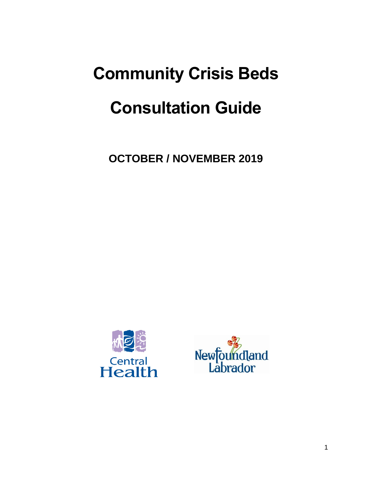# **Community Crisis Beds Consultation Guide**

**OCTOBER / NOVEMBER 2019**



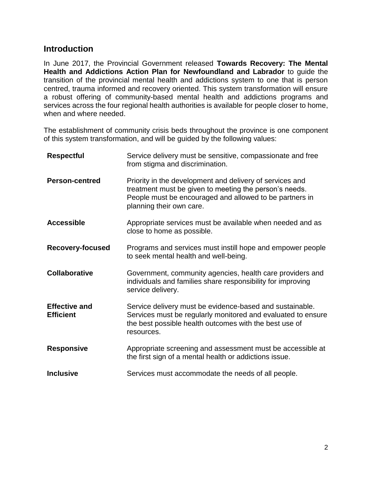#### **Introduction**

In June 2017, the Provincial Government released **Towards Recovery: The Mental Health and Addictions Action Plan for Newfoundland and Labrador** to guide the transition of the provincial mental health and addictions system to one that is person centred, trauma informed and recovery oriented. This system transformation will ensure a robust offering of community-based mental health and addictions programs and services across the four regional health authorities is available for people closer to home, when and where needed.

The establishment of community crisis beds throughout the province is one component of this system transformation, and will be guided by the following values:

| <b>Respectful</b>                        | Service delivery must be sensitive, compassionate and free<br>from stigma and discrimination.                                                                                                             |  |  |
|------------------------------------------|-----------------------------------------------------------------------------------------------------------------------------------------------------------------------------------------------------------|--|--|
| <b>Person-centred</b>                    | Priority in the development and delivery of services and<br>treatment must be given to meeting the person's needs.<br>People must be encouraged and allowed to be partners in<br>planning their own care. |  |  |
| <b>Accessible</b>                        | Appropriate services must be available when needed and as<br>close to home as possible.                                                                                                                   |  |  |
| <b>Recovery-focused</b>                  | Programs and services must instill hope and empower people<br>to seek mental health and well-being.                                                                                                       |  |  |
| <b>Collaborative</b>                     | Government, community agencies, health care providers and<br>individuals and families share responsibility for improving<br>service delivery.                                                             |  |  |
| <b>Effective and</b><br><b>Efficient</b> | Service delivery must be evidence-based and sustainable.<br>Services must be regularly monitored and evaluated to ensure<br>the best possible health outcomes with the best use of<br>resources.          |  |  |
| <b>Responsive</b>                        | Appropriate screening and assessment must be accessible at<br>the first sign of a mental health or addictions issue.                                                                                      |  |  |
| <b>Inclusive</b>                         | Services must accommodate the needs of all people.                                                                                                                                                        |  |  |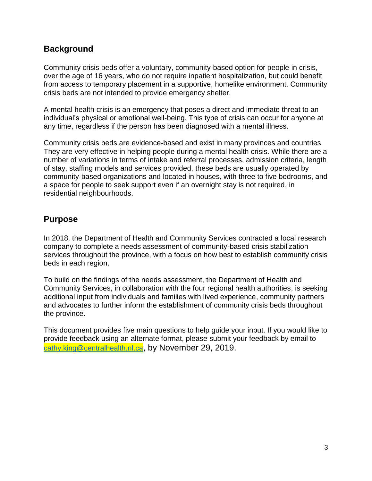#### **Background**

Community crisis beds offer a voluntary, community-based option for people in crisis, over the age of 16 years, who do not require inpatient hospitalization, but could benefit from access to temporary placement in a supportive, homelike environment. Community crisis beds are not intended to provide emergency shelter.

A mental health crisis is an emergency that poses a direct and immediate threat to an individual's physical or emotional well-being. This type of crisis can occur for anyone at any time, regardless if the person has been diagnosed with a mental illness.

Community crisis beds are evidence-based and exist in many provinces and countries. They are very effective in helping people during a mental health crisis. While there are a number of variations in terms of intake and referral processes, admission criteria, length of stay, staffing models and services provided, these beds are usually operated by community-based organizations and located in houses, with three to five bedrooms, and a space for people to seek support even if an overnight stay is not required, in residential neighbourhoods.

### **Purpose**

In 2018, the Department of Health and Community Services contracted a local research company to complete a needs assessment of community-based crisis stabilization services throughout the province, with a focus on how best to establish community crisis beds in each region.

To build on the findings of the needs assessment, the Department of Health and Community Services, in collaboration with the four regional health authorities, is seeking additional input from individuals and families with lived experience, community partners and advocates to further inform the establishment of community crisis beds throughout the province.

This document provides five main questions to help guide your input. If you would like to provide feedback using an alternate format, please submit your feedback by email to [cathy.king@centralhealth.nl.ca](mailto:cathy.king@centralhealth.nl.ca), by November 29, 2019.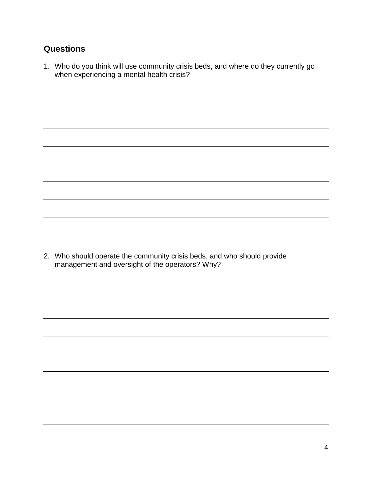## **Questions**

1. Who do you think will use community crisis beds, and where do they currently go when experiencing a mental health crisis?

2. Who should operate the community crisis beds, and who should provide management and oversight of the operators? Why?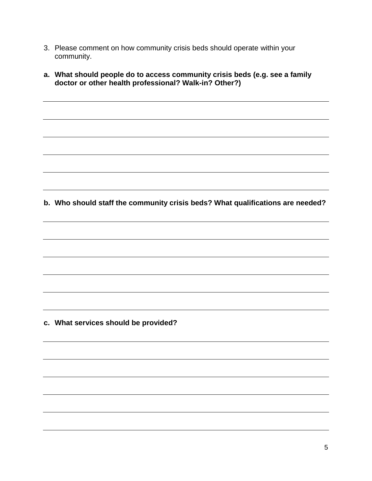- 3. Please comment on how community crisis beds should operate within your community.
- **a. What should people do to access community crisis beds (e.g. see a family doctor or other health professional? Walk-in? Other?)**

**b. Who should staff the community crisis beds? What qualifications are needed?**

**c. What services should be provided?**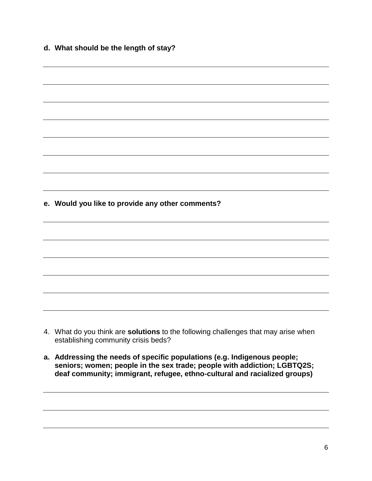**d. What should be the length of stay?**

| e. Would you like to provide any other comments? |                                                                                                                           |  |  |  |  |
|--------------------------------------------------|---------------------------------------------------------------------------------------------------------------------------|--|--|--|--|
|                                                  |                                                                                                                           |  |  |  |  |
|                                                  |                                                                                                                           |  |  |  |  |
|                                                  |                                                                                                                           |  |  |  |  |
|                                                  |                                                                                                                           |  |  |  |  |
|                                                  |                                                                                                                           |  |  |  |  |
|                                                  |                                                                                                                           |  |  |  |  |
|                                                  | 4. What do you think are solutions to the following challenges that may arise when<br>establishing community crisis beds? |  |  |  |  |

**a. Addressing the needs of specific populations (e.g. Indigenous people; seniors; women; people in the sex trade; people with addiction; LGBTQ2S; deaf community; immigrant, refugee, ethno-cultural and racialized groups)**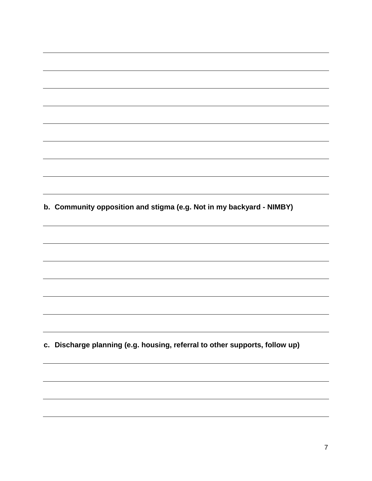**b. Community opposition and stigma (e.g. Not in my backyard - NIMBY) c. Discharge planning (e.g. housing, referral to other supports, follow up)**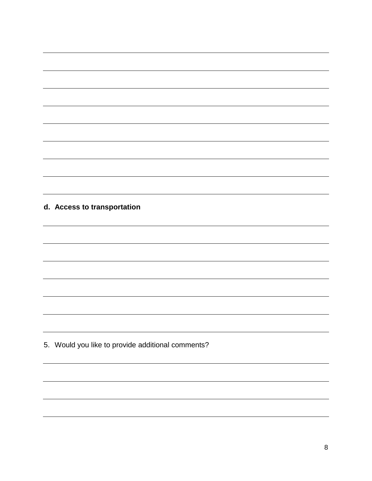#### **d. Access to transportation**

5. Would you like to provide additional comments?